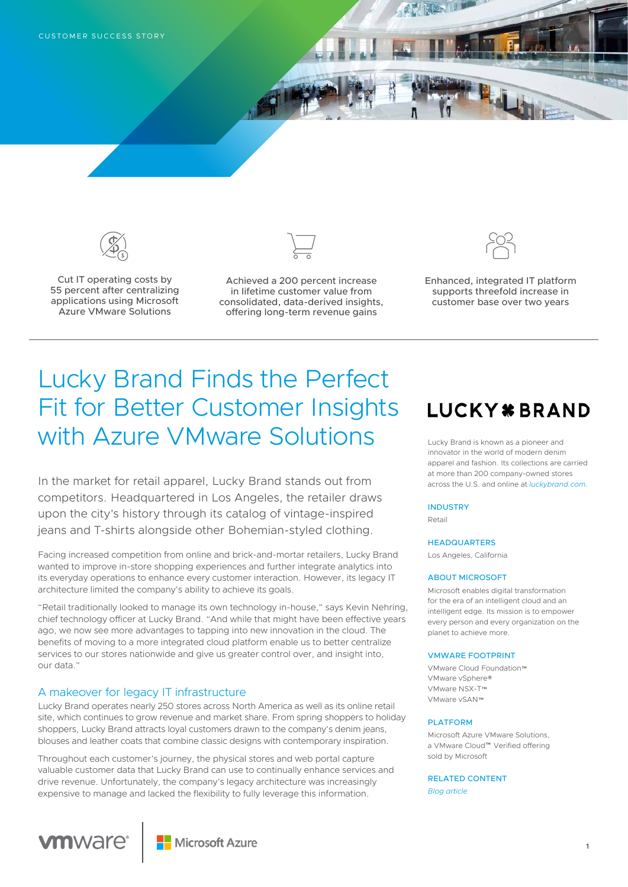



Cut IT operating costs by 55 percent after centralizing applications using Microsoft Azure VMware Solutions



Achieved a 200 percent increase in lifetime customer value from consolidated, data-derived insights, offering long-term revenue gains



Enhanced, integrated IT platform supports threefold increase in customer base over two years

# Lucky Brand Finds the Perfect Fit for Better Customer Insights with Azure VMware Solutions

In the market for retail apparel, Lucky Brand stands out from competitors. Headquartered in Los Angeles, the retailer draws upon the city's history through its catalog of vintage-inspired jeans and T-shirts alongside other Bohemian-styled clothing.

Facing increased competition from online and brick-and-mortar retailers, Lucky Brand wanted to improve in-store shopping experiences and further integrate analytics into its everyday operations to enhance every customer interaction. However, its legacy IT architecture limited the company's ability to achieve its goals.

"Retail traditionally looked to manage its own technology in-house," says Kevin Nehring, chief technology officer at Lucky Brand. "And while that might have been effective years ago, we now see more advantages to tapping into new innovation in the cloud. The benefits of moving to a more integrated cloud platform enable us to better centralize services to our stores nationwide and give us greater control over, and insight into, our data."

# A makeover for legacy IT infrastructure

**vm**ware®

Lucky Brand operates nearly 250 stores across North America as well as its online retail site, which continues to grow revenue and market share. From spring shoppers to holiday shoppers, Lucky Brand attracts loyal customers drawn to the company's denim jeans, blouses and leather coats that combine classic designs with contemporary inspiration.

Throughout each customer's journey, the physical stores and web portal capture valuable customer data that Lucky Brand can use to continually enhance services and drive revenue. Unfortunately, the company's legacy architecture was increasingly expensive to manage and lacked the flexibility to fully leverage this information.

# **LUCKY \* BRAND**

Lucky Brand is known as a pioneer and innovator in the world of modern denim apparel and fashion. Its collections are carried at more than 200 company-owned stores across the U.S. and online at *[luckybrand.com](http://luckybrand.com)*.

#### **INDUSTRY**

Retail

#### **HEADQUARTERS**

Los Angeles, California

#### ABOUT MICROSOFT

Microsoft enables digital transformation for the era of an intelligent cloud and an intelligent edge. Its mission is to empower every person and every organization on the planet to achieve more.

#### VMWARE FOOTPRINT

VMware Cloud Foundation™ VMware vSphere® VMware NSX-T™ VMware vSAN™

#### PLATFORM

Microsoft Azure VMware Solutions, a VMware Cloud™ Verified offering sold by Microsoft

RELATED CONTENT *[Blog article](https://azure.microsoft.com/en-us/blog/azure-and-vmware-innovation-and-momentum/)*

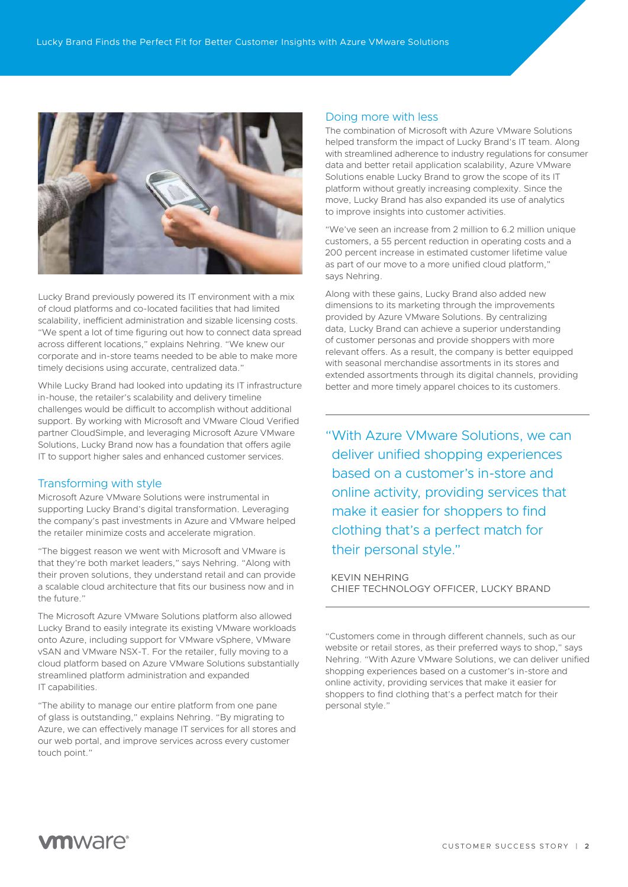

Lucky Brand previously powered its IT environment with a mix of cloud platforms and co-located facilities that had limited scalability, inefficient administration and sizable licensing costs. "We spent a lot of time figuring out how to connect data spread across different locations," explains Nehring. "We knew our corporate and in-store teams needed to be able to make more timely decisions using accurate, centralized data.'

While Lucky Brand had looked into updating its IT infrastructure in-house, the retailer's scalability and delivery timeline challenges would be difficult to accomplish without additional support. By working with Microsoft and VMware Cloud Verified partner CloudSimple, and leveraging Microsoft Azure VMware Solutions, Lucky Brand now has a foundation that offers agile IT to support higher sales and enhanced customer services.

# Transforming with style

Microsoft Azure VMware Solutions were instrumental in supporting Lucky Brand's digital transformation. Leveraging the company's past investments in Azure and VMware helped the retailer minimize costs and accelerate migration.

"The biggest reason we went with Microsoft and VMware is that they're both market leaders," says Nehring. "Along with their proven solutions, they understand retail and can provide a scalable cloud architecture that fits our business now and in the future."

The Microsoft Azure VMware Solutions platform also allowed Lucky Brand to easily integrate its existing VMware workloads onto Azure, including support for VMware vSphere, VMware vSAN and VMware NSX-T. For the retailer, fully moving to a cloud platform based on Azure VMware Solutions substantially streamlined platform administration and expanded IT capabilities.

"The ability to manage our entire platform from one pane of glass is outstanding," explains Nehring. "By migrating to Azure, we can effectively manage IT services for all stores and our web portal, and improve services across every customer touch point."

## Doing more with less

The combination of Microsoft with Azure VMware Solutions helped transform the impact of Lucky Brand's IT team. Along with streamlined adherence to industry regulations for consumer data and better retail application scalability, Azure VMware Solutions enable Lucky Brand to grow the scope of its IT platform without greatly increasing complexity. Since the move, Lucky Brand has also expanded its use of analytics to improve insights into customer activities.

"We've seen an increase from 2 million to 6.2 million unique customers, a 55 percent reduction in operating costs and a 200 percent increase in estimated customer lifetime value as part of our move to a more unified cloud platform," says Nehring.

Along with these gains, Lucky Brand also added new dimensions to its marketing through the improvements provided by Azure VMware Solutions. By centralizing data, Lucky Brand can achieve a superior understanding of customer personas and provide shoppers with more relevant offers. As a result, the company is better equipped with seasonal merchandise assortments in its stores and extended assortments through its digital channels, providing better and more timely apparel choices to its customers.

"With Azure VMware Solutions, we can deliver unified shopping experiences based on a customer's in-store and online activity, providing services that make it easier for shoppers to find clothing that's a perfect match for their personal style."

KEVIN NEHRING CHIEF TECHNOLOGY OFFICER, LUCKY BRAND

"Customers come in through different channels, such as our website or retail stores, as their preferred ways to shop," says Nehring. "With Azure VMware Solutions, we can deliver unified shopping experiences based on a customer's in-store and online activity, providing services that make it easier for shoppers to find clothing that's a perfect match for their personal style."